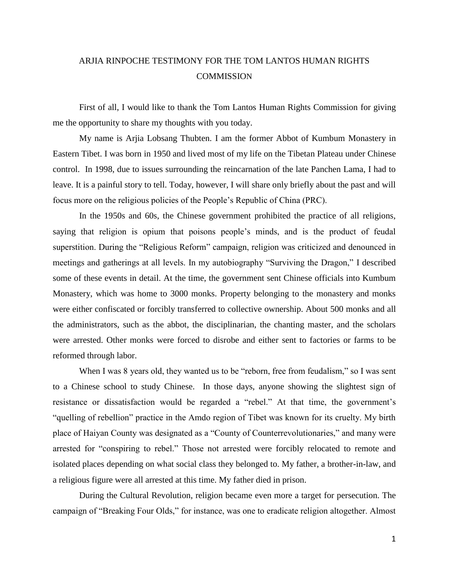## ARJIA RINPOCHE TESTIMONY FOR THE TOM LANTOS HUMAN RIGHTS **COMMISSION**

First of all, I would like to thank the Tom Lantos Human Rights Commission for giving me the opportunity to share my thoughts with you today.

My name is Arjia Lobsang Thubten. I am the former Abbot of Kumbum Monastery in Eastern Tibet. I was born in 1950 and lived most of my life on the Tibetan Plateau under Chinese control. In 1998, due to issues surrounding the reincarnation of the late Panchen Lama, I had to leave. It is a painful story to tell. Today, however, I will share only briefly about the past and will focus more on the religious policies of the People's Republic of China (PRC).

In the 1950s and 60s, the Chinese government prohibited the practice of all religions, saying that religion is opium that poisons people's minds, and is the product of feudal superstition. During the "Religious Reform" campaign, religion was criticized and denounced in meetings and gatherings at all levels. In my autobiography "Surviving the Dragon," I described some of these events in detail. At the time, the government sent Chinese officials into Kumbum Monastery, which was home to 3000 monks. Property belonging to the monastery and monks were either confiscated or forcibly transferred to collective ownership. About 500 monks and all the administrators, such as the abbot, the disciplinarian, the chanting master, and the scholars were arrested. Other monks were forced to disrobe and either sent to factories or farms to be reformed through labor.

When I was 8 years old, they wanted us to be "reborn, free from feudalism," so I was sent to a Chinese school to study Chinese. In those days, anyone showing the slightest sign of resistance or dissatisfaction would be regarded a "rebel." At that time, the government's "quelling of rebellion" practice in the Amdo region of Tibet was known for its cruelty. My birth place of Haiyan County was designated as a "County of Counterrevolutionaries," and many were arrested for "conspiring to rebel." Those not arrested were forcibly relocated to remote and isolated places depending on what social class they belonged to. My father, a brother-in-law, and a religious figure were all arrested at this time. My father died in prison.

During the Cultural Revolution, religion became even more a target for persecution. The campaign of "Breaking Four Olds," for instance, was one to eradicate religion altogether. Almost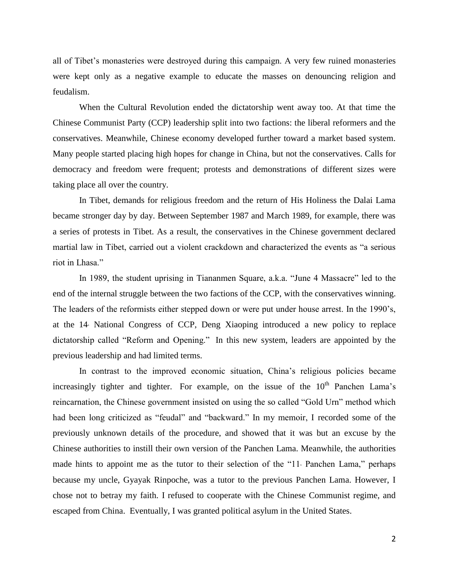all of Tibet's monasteries were destroyed during this campaign. A very few ruined monasteries were kept only as a negative example to educate the masses on denouncing religion and feudalism.

When the Cultural Revolution ended the dictatorship went away too. At that time the Chinese Communist Party (CCP) leadership split into two factions: the liberal reformers and the conservatives. Meanwhile, Chinese economy developed further toward a market based system. Many people started placing high hopes for change in China, but not the conservatives. Calls for democracy and freedom were frequent; protests and demonstrations of different sizes were taking place all over the country.

In Tibet, demands for religious freedom and the return of His Holiness the Dalai Lama became stronger day by day. Between September 1987 and March 1989, for example, there was a series of protests in Tibet. As a result, the conservatives in the Chinese government declared martial law in Tibet, carried out a violent crackdown and characterized the events as "a serious riot in Lhasa."

In 1989, the student uprising in Tiananmen Square, a.k.a. "June 4 Massacre" led to the end of the internal struggle between the two factions of the CCP, with the conservatives winning. The leaders of the reformists either stepped down or were put under house arrest. In the 1990's, at the 14 National Congress of CCP, Deng Xiaoping introduced a new policy to replace dictatorship called "Reform and Opening." In this new system, leaders are appointed by the previous leadership and had limited terms.

In contrast to the improved economic situation, China's religious policies became increasingly tighter and tighter. For example, on the issue of the  $10<sup>th</sup>$  Panchen Lama's reincarnation, the Chinese government insisted on using the so called "Gold Urn" method which had been long criticized as "feudal" and "backward." In my memoir, I recorded some of the previously unknown details of the procedure, and showed that it was but an excuse by the Chinese authorities to instill their own version of the Panchen Lama. Meanwhile, the authorities made hints to appoint me as the tutor to their selection of the " $11$  Panchen Lama," perhaps because my uncle, Gyayak Rinpoche, was a tutor to the previous Panchen Lama. However, I chose not to betray my faith. I refused to cooperate with the Chinese Communist regime, and escaped from China. Eventually, I was granted political asylum in the United States.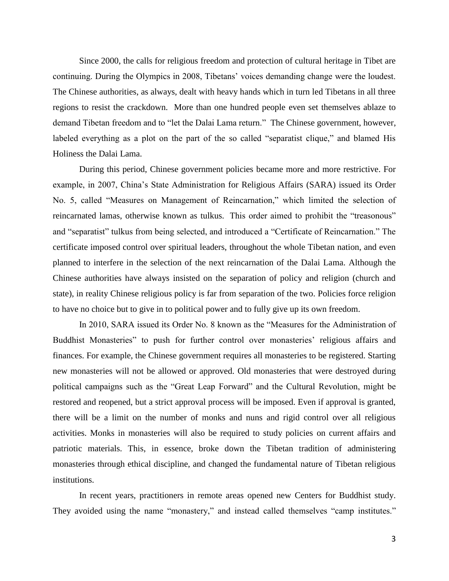Since 2000, the calls for religious freedom and protection of cultural heritage in Tibet are continuing. During the Olympics in 2008, Tibetans' voices demanding change were the loudest. The Chinese authorities, as always, dealt with heavy hands which in turn led Tibetans in all three regions to resist the crackdown. More than one hundred people even set themselves ablaze to demand Tibetan freedom and to "let the Dalai Lama return." The Chinese government, however, labeled everything as a plot on the part of the so called "separatist clique," and blamed His Holiness the Dalai Lama.

During this period, Chinese government policies became more and more restrictive. For example, in 2007, China's State Administration for Religious Affairs (SARA) issued its Order No. 5, called "Measures on Management of Reincarnation," which limited the selection of reincarnated lamas, otherwise known as tulkus. This order aimed to prohibit the "treasonous" and "separatist" tulkus from being selected, and introduced a "Certificate of Reincarnation." The certificate imposed control over spiritual leaders, throughout the whole Tibetan nation, and even planned to interfere in the selection of the next reincarnation of the Dalai Lama. Although the Chinese authorities have always insisted on the separation of policy and religion (church and state), in reality Chinese religious policy is far from separation of the two. Policies force religion to have no choice but to give in to political power and to fully give up its own freedom.

In 2010, SARA issued its Order No. 8 known as the "Measures for the Administration of Buddhist Monasteries" to push for further control over monasteries' religious affairs and finances. For example, the Chinese government requires all monasteries to be registered. Starting new monasteries will not be allowed or approved. Old monasteries that were destroyed during political campaigns such as the "Great Leap Forward" and the Cultural Revolution, might be restored and reopened, but a strict approval process will be imposed. Even if approval is granted, there will be a limit on the number of monks and nuns and rigid control over all religious activities. Monks in monasteries will also be required to study policies on current affairs and patriotic materials. This, in essence, broke down the Tibetan tradition of administering monasteries through ethical discipline, and changed the fundamental nature of Tibetan religious institutions.

In recent years, practitioners in remote areas opened new Centers for Buddhist study. They avoided using the name "monastery," and instead called themselves "camp institutes."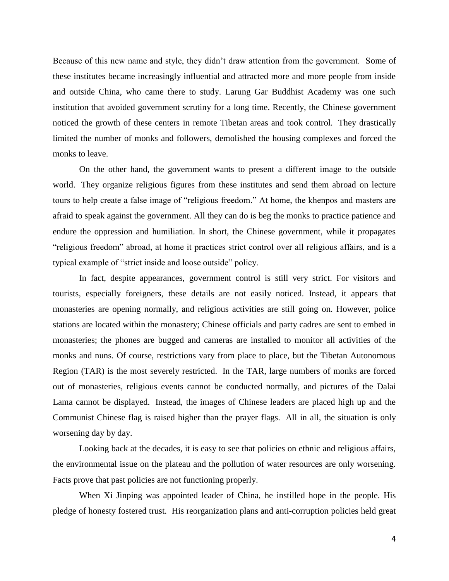Because of this new name and style, they didn't draw attention from the government. Some of these institutes became increasingly influential and attracted more and more people from inside and outside China, who came there to study. Larung Gar Buddhist Academy was one such institution that avoided government scrutiny for a long time. Recently, the Chinese government noticed the growth of these centers in remote Tibetan areas and took control. They drastically limited the number of monks and followers, demolished the housing complexes and forced the monks to leave.

On the other hand, the government wants to present a different image to the outside world. They organize religious figures from these institutes and send them abroad on lecture tours to help create a false image of "religious freedom." At home, the khenpos and masters are afraid to speak against the government. All they can do is beg the monks to practice patience and endure the oppression and humiliation. In short, the Chinese government, while it propagates "religious freedom" abroad, at home it practices strict control over all religious affairs, and is a typical example of "strict inside and loose outside" policy.

In fact, despite appearances, government control is still very strict. For visitors and tourists, especially foreigners, these details are not easily noticed. Instead, it appears that monasteries are opening normally, and religious activities are still going on. However, police stations are located within the monastery; Chinese officials and party cadres are sent to embed in monasteries; the phones are bugged and cameras are installed to monitor all activities of the monks and nuns. Of course, restrictions vary from place to place, but the Tibetan Autonomous Region (TAR) is the most severely restricted. In the TAR, large numbers of monks are forced out of monasteries, religious events cannot be conducted normally, and pictures of the Dalai Lama cannot be displayed. Instead, the images of Chinese leaders are placed high up and the Communist Chinese flag is raised higher than the prayer flags. All in all, the situation is only worsening day by day.

Looking back at the decades, it is easy to see that policies on ethnic and religious affairs, the environmental issue on the plateau and the pollution of water resources are only worsening. Facts prove that past policies are not functioning properly.

When Xi Jinping was appointed leader of China, he instilled hope in the people. His pledge of honesty fostered trust. His reorganization plans and anti-corruption policies held great